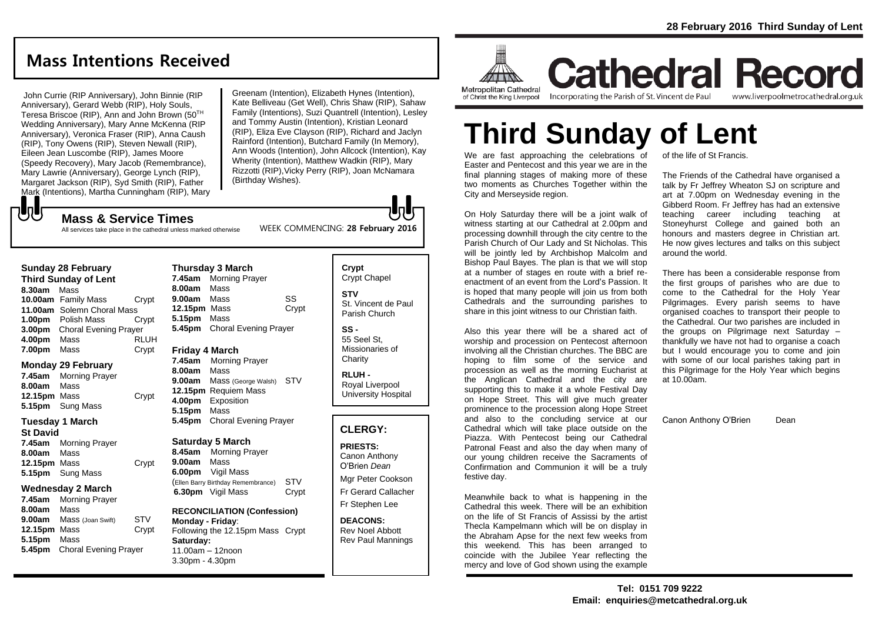## **Mass Intentions Received**

John Currie (RIP Anniversary), John Binnie (RIP Anniversary), Gerard Webb (RIP), Holy Souls, Teresa Briscoe (RIP), Ann and John Brown (50TH Wedding Anniversary), Mary Anne McKenna (RIP Anniversary), Veronica Fraser (RIP), Anna Caush (RIP), Tony Owens (RIP), Steven Newall (RIP), Eileen Jean Luscombe (RIP), James Moore (Speedy Recovery), Mary Jacob (Remembrance), Mary Lawrie (Anniversary), George Lynch (RIP), Margaret Jackson (RIP), Syd Smith (RIP), Father Mark (Intentions), Martha Cunningham (RIP), Mary Greenam (Intention), Elizabeth Hynes (Intention), Kate Belliveau (Get Well), Chris Shaw (RIP), Sahaw Family (Intentions), Suzi Quantrell (Intention), Lesley and Tommy Austin (Intention), Kristian Leonard (RIP), Eliza Eve Clayson (RIP), Richard and Jaclyn Rainford (Intention), Butchard Family (In Memory), Ann Woods (Intention), John Allcock (Intention), Kay Wherity (Intention), Matthew Wadkin (RIP), Mary Rizzotti (RIP),Vicky Perry (RIP), Joan McNamara (Birthday Wishes).

WEEK COMMENCING: **28 February 2016**

## **Mass & Service Times**

All services take place in the cathedral unless marked otherwise

#### **Sunday 28 February**

もし

**Third Sunday of Lent 8.30am** Mass **10.00am** Family Mass Crypt **11.00am** Solemn Choral Mass **1.00pm** Polish Mass Crypt **3.00pm** Choral Evening Prayer **4.00pm** Mass RLUH **7.00pm** Mass Crypt

#### **Monday 29 February**

**7.45am** Morning Prayer **8.00am** Mass **12.15pm** Mass Crypt **5.15pm** Sung Mass

#### **Tuesday 1 March**

**St David 7.45am** Morning Prayer **8.00am** Mass **12.15pm** Mass Crypt **5.15pm** Sung Mass

#### **Wednesday 2 March**

**7.45am** Morning Prayer **8.00am** Mass **9.00am** Mass (Joan Swift) STV **12.15pm** Mass Crypt **5.15pm** Mass **5.45pm** Choral Evening Prayer

#### **Thursday 3 March 7.45am** Morning Prayer **8.00am** Mass **9.00am** Mass SS **12.15pm** Mass Crypt **5.15pm** Mass **5.45pm** Choral Evening Prayer

#### **Friday 4 March**

**7.45am** Morning Prayer **8.00am** Mass **9.00am** Mass (George Walsh) STV **12.15pm** Requiem Mass **4.00pm** Exposition **5.15pm** Mass **5.45pm** Choral Evening Prayer

#### **Saturday 5 March**

**8.45am** Morning Prayer **9.00am** Mass **6.00pm** Vigil Mass (Ellen Barry Birthday Remembrance) STV **6.30pm** Vigil Mass Crypt

#### **RECONCILIATION (Confession) Monday - Friday**: Following the 12.15pm Mass Crypt **Saturday:** 11.00am – 12noon 3.30pm - 4.30pm

#### **Crypt**  Crypt Chapel **STV** St. Vincent de Paul Parish Church

**SS -** 55 Seel St, Missionaries of **Charity** 

**RLUH -** Royal Liverpool University Hospital

#### **CLERGY:**

**PRIESTS:** Canon Anthony

O'Brien *Dean* Mgr Peter Cookson Fr Gerard Callacher

Fr Stephen Lee

**DEACONS:** Rev Noel Abbott Rev Paul Mannings



**Cathedral Record** of Christ the King Liverpool

Incorporating the Parish of St. Vincent de Paul

www.liverpoolmetrocathedral.org.uk

# **Third Sunday of Lent**

We are fast approaching the celebrations of Easter and Pentecost and this year we are in the final planning stages of making more of these two moments as Churches Together within the City and Merseyside region.

On Holy Saturday there will be a joint walk of witness starting at our Cathedral at 2.00pm and processing downhill through the city centre to the Parish Church of Our Lady and St Nicholas. This will be jointly led by Archbishop Malcolm and Bishop Paul Bayes. The plan is that we will stop at a number of stages en route with a brief reenactment of an event from the Lord's Passion. It is hoped that many people will join us from both Cathedrals and the surrounding parishes to share in this joint witness to our Christian faith.

Also this year there will be a shared act of worship and procession on Pentecost afternoon involving all the Christian churches. The BBC are hoping to film some of the service and procession as well as the morning Eucharist at the Anglican Cathedral and the city are supporting this to make it a whole Festival Day on Hope Street. This will give much greater prominence to the procession along Hope Street and also to the concluding service at our Cathedral which will take place outside on the Piazza. With Pentecost being our Cathedral Patronal Feast and also the day when many of our young children receive the Sacraments of Confirmation and Communion it will be a truly festive day.

Meanwhile back to what is happening in the Cathedral this week. There will be an exhibition on the life of St Francis of Assissi by the artist Thecla Kampelmann which will be on display in the Abraham Apse for the next few weeks from this weekend. This has been arranged to coincide with the Jubilee Year reflecting the mercy and love of God shown using the example

of the life of St Francis.

The Friends of the Cathedral have organised a talk by Fr Jeffrey Wheaton SJ on scripture and art at 7.00pm on Wednesday evening in the Gibberd Room. Fr Jeffrey has had an extensive teaching career including teaching at Stoneyhurst College and gained both an honours and masters degree in Christian art. He now gives lectures and talks on this subject around the world.

There has been a considerable response from the first groups of parishes who are due to come to the Cathedral for the Holy Year Pilgrimages. Every parish seems to have organised coaches to transport their people to the Cathedral. Our two parishes are included in the groups on Pilgrimage next Saturday – thankfully we have not had to organise a coach but I would encourage you to come and join with some of our local parishes taking part in this Pilgrimage for the Holy Year which begins at 10.00am.

Canon Anthony O'Brien Dean